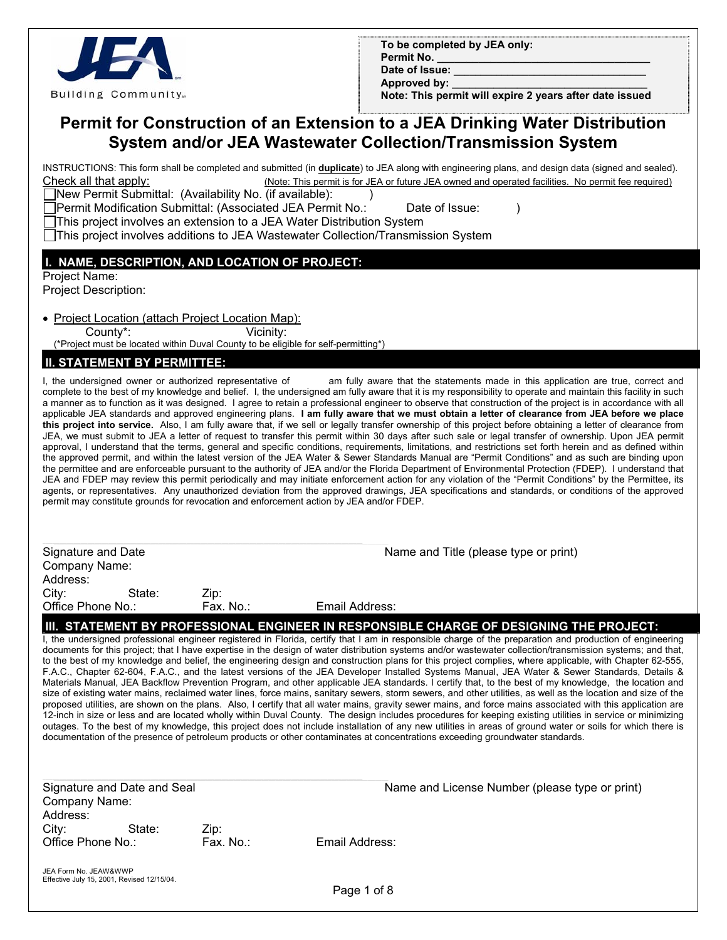

|            | To be completed by JEA only: |  |  |
|------------|------------------------------|--|--|
| Permit No. |                              |  |  |

Date of **Issue**:

Approved by:

 **Note: This permit will expire 2 years after date issued**

# **Permit for Construction of an Extension to a JEA Drinking Water Distribution System and/or JEA Wastewater Collection/Transmission System**

INSTRUCTIONS: This form shall be completed and submitted (in **duplicate**) to JEA along with engineering plans, and design data (signed and sealed). Check all that apply: (Note: This permit is for JEA or future JEA owned and operated facilities. No permit fee required)

 $\Box$ New Permit Submittal: (Availability No. (if available):  $\Box$ )

Permit Modification Submittal: (Associated JEA Permit No.: Date of Issue: ) This project involves an extension to a JEA Water Distribution System

This project involves additions to JEA Wastewater Collection/Transmission System

### **I. NAME, DESCRIPTION, AND LOCATION OF PROJECT:**

Project Name:

Project Description:

• Project Location (attach Project Location Map):

County\*: Vicinity:

(\*Project must be located within Duval County to be eligible for self-permitting\*)

### **II. STATEMENT BY PERMITTEE:**

I, the undersigned owner or authorized representative of am fully aware that the statements made in this application are true, correct and complete to the best of my knowledge and belief. I, the undersigned am fully aware that it is my responsibility to operate and maintain this facility in such a manner as to function as it was designed. I agree to retain a professional engineer to observe that construction of the project is in accordance with all applicable JEA standards and approved engineering plans. **I am fully aware that we must obtain a letter of clearance from JEA before we place this project into service.** Also, I am fully aware that, if we sell or legally transfer ownership of this project before obtaining a letter of clearance from JEA, we must submit to JEA a letter of request to transfer this permit within 30 days after such sale or legal transfer of ownership. Upon JEA permit approval, I understand that the terms, general and specific conditions, requirements, limitations, and restrictions set forth herein and as defined within the approved permit, and within the latest version of the JEA Water & Sewer Standards Manual are "Permit Conditions" and as such are binding upon the permittee and are enforceable pursuant to the authority of JEA and/or the Florida Department of Environmental Protection (FDEP). I understand that JEA and FDEP may review this permit periodically and may initiate enforcement action for any violation of the "Permit Conditions" by the Permittee, its agents, or representatives. Any unauthorized deviation from the approved drawings, JEA specifications and standards, or conditions of the approved permit may constitute grounds for revocation and enforcement action by JEA and/or FDEP.

Signature and Date Name and Title (please type or print) Company Name: Address: City: State: Zip:<br>Office Phone No.: Fax. No.: Office Phone No.: Fax. No.: Email Address: **III. STATEMENT BY PROFESSIONAL ENGINEER IN RESPONSIBLE CHARGE OF DESIGNING THE PROJECT:**

I, the undersigned professional engineer registered in Florida, certify that I am in responsible charge of the preparation and production of engineering documents for this project; that I have expertise in the design of water distribution systems and/or wastewater collection/transmission systems; and that, to the best of my knowledge and belief, the engineering design and construction plans for this project complies, where applicable, with Chapter 62-555, F.A.C., Chapter 62-604, F.A.C., and the latest versions of the JEA Developer Installed Systems Manual, JEA Water & Sewer Standards, Details & Materials Manual, JEA Backflow Prevention Program, and other applicable JEA standards. I certify that, to the best of my knowledge, the location and size of existing water mains, reclaimed water lines, force mains, sanitary sewers, storm sewers, and other utilities, as well as the location and size of the proposed utilities, are shown on the plans. Also, I certify that all water mains, gravity sewer mains, and force mains associated with this application are 12-inch in size or less and are located wholly within Duval County. The design includes procedures for keeping existing utilities in service or minimizing outages. To the best of my knowledge, this project does not include installation of any new utilities in areas of ground water or soils for which there is documentation of the presence of petroleum products or other contaminates at concentrations exceeding groundwater standards.

| Signature and Date and Seal                                         |           | Name and License Number (please type or print) |  |
|---------------------------------------------------------------------|-----------|------------------------------------------------|--|
|                                                                     |           |                                                |  |
| Company Name:                                                       |           |                                                |  |
| Address:                                                            |           |                                                |  |
| City:<br>State:                                                     | Zip:      |                                                |  |
| Office Phone No.:                                                   | Fax. No.: | Email Address:                                 |  |
| JEA Form No. JEAW&WWP<br>Effective July 15, 2001, Revised 12/15/04. |           |                                                |  |

Page 1 of 8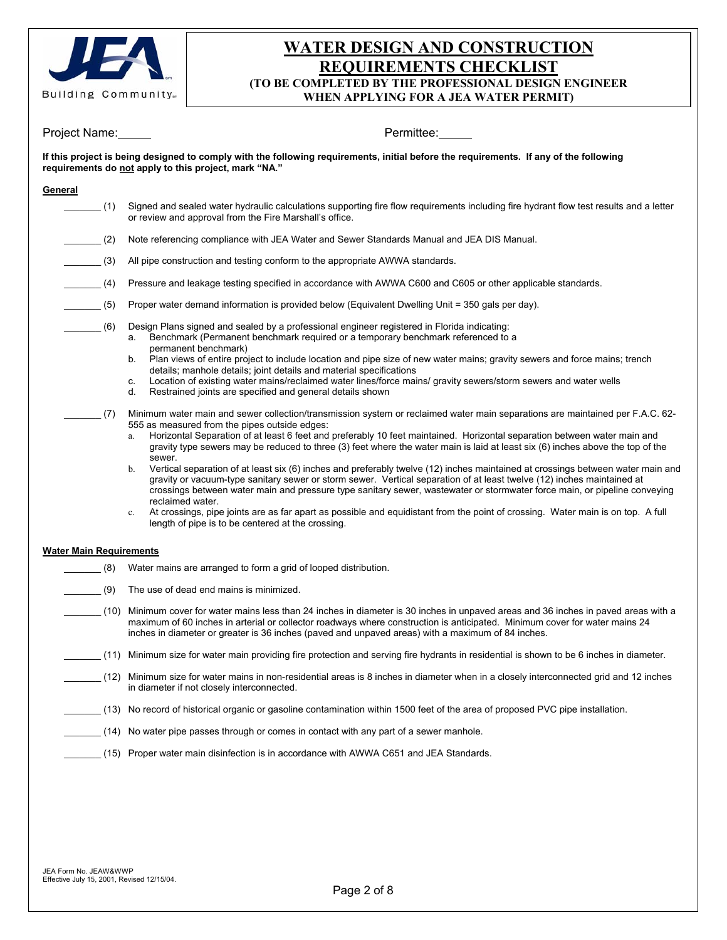

# **WATER DESIGN AND CONSTRUCTION REQUIREMENTS CHECKLIST (TO BE COMPLETED BY THE PROFESSIONAL DESIGN ENGINEER WHEN APPLYING FOR A JEA WATER PERMIT)**

| Project Name:                      | Permittee:                                                                                                                                                                                                                                                                                                                                                                                                                                                                                                                                                                                                                                                                                                                                                                                                                                                                                                                                                                                                                                                                    |
|------------------------------------|-------------------------------------------------------------------------------------------------------------------------------------------------------------------------------------------------------------------------------------------------------------------------------------------------------------------------------------------------------------------------------------------------------------------------------------------------------------------------------------------------------------------------------------------------------------------------------------------------------------------------------------------------------------------------------------------------------------------------------------------------------------------------------------------------------------------------------------------------------------------------------------------------------------------------------------------------------------------------------------------------------------------------------------------------------------------------------|
|                                    | If this project is being designed to comply with the following requirements, initial before the requirements. If any of the following<br>requirements do not apply to this project, mark "NA."                                                                                                                                                                                                                                                                                                                                                                                                                                                                                                                                                                                                                                                                                                                                                                                                                                                                                |
| General                            |                                                                                                                                                                                                                                                                                                                                                                                                                                                                                                                                                                                                                                                                                                                                                                                                                                                                                                                                                                                                                                                                               |
| (1)                                | Signed and sealed water hydraulic calculations supporting fire flow requirements including fire hydrant flow test results and a letter<br>or review and approval from the Fire Marshall's office.                                                                                                                                                                                                                                                                                                                                                                                                                                                                                                                                                                                                                                                                                                                                                                                                                                                                             |
| (2)                                | Note referencing compliance with JEA Water and Sewer Standards Manual and JEA DIS Manual.                                                                                                                                                                                                                                                                                                                                                                                                                                                                                                                                                                                                                                                                                                                                                                                                                                                                                                                                                                                     |
| $\sim$ (3)                         | All pipe construction and testing conform to the appropriate AWWA standards.                                                                                                                                                                                                                                                                                                                                                                                                                                                                                                                                                                                                                                                                                                                                                                                                                                                                                                                                                                                                  |
| $\mathcal{L}^{\mathcal{L}}$<br>(4) | Pressure and leakage testing specified in accordance with AWWA C600 and C605 or other applicable standards.                                                                                                                                                                                                                                                                                                                                                                                                                                                                                                                                                                                                                                                                                                                                                                                                                                                                                                                                                                   |
| $\sim$ (5)                         | Proper water demand information is provided below (Equivalent Dwelling Unit = 350 gals per day).                                                                                                                                                                                                                                                                                                                                                                                                                                                                                                                                                                                                                                                                                                                                                                                                                                                                                                                                                                              |
| (6)                                | Design Plans signed and sealed by a professional engineer registered in Florida indicating:<br>Benchmark (Permanent benchmark required or a temporary benchmark referenced to a<br>а.<br>permanent benchmark)                                                                                                                                                                                                                                                                                                                                                                                                                                                                                                                                                                                                                                                                                                                                                                                                                                                                 |
|                                    | Plan views of entire project to include location and pipe size of new water mains; gravity sewers and force mains; trench<br>b.<br>details; manhole details; joint details and material specifications                                                                                                                                                                                                                                                                                                                                                                                                                                                                                                                                                                                                                                                                                                                                                                                                                                                                        |
|                                    | Location of existing water mains/reclaimed water lines/force mains/ gravity sewers/storm sewers and water wells<br>c.<br>Restrained joints are specified and general details shown<br>d.                                                                                                                                                                                                                                                                                                                                                                                                                                                                                                                                                                                                                                                                                                                                                                                                                                                                                      |
| (7)                                | Minimum water main and sewer collection/transmission system or reclaimed water main separations are maintained per F.A.C. 62-<br>555 as measured from the pipes outside edges:<br>Horizontal Separation of at least 6 feet and preferably 10 feet maintained. Horizontal separation between water main and<br>gravity type sewers may be reduced to three (3) feet where the water main is laid at least six (6) inches above the top of the<br>sewer.<br>Vertical separation of at least six (6) inches and preferably twelve (12) inches maintained at crossings between water main and<br>b.<br>gravity or vacuum-type sanitary sewer or storm sewer. Vertical separation of at least twelve (12) inches maintained at<br>crossings between water main and pressure type sanitary sewer, wastewater or stormwater force main, or pipeline conveying<br>reclaimed water.<br>At crossings, pipe joints are as far apart as possible and equidistant from the point of crossing. Water main is on top. A full<br>$c_{-}$<br>length of pipe is to be centered at the crossing. |
| <b>Water Main Requirements</b>     |                                                                                                                                                                                                                                                                                                                                                                                                                                                                                                                                                                                                                                                                                                                                                                                                                                                                                                                                                                                                                                                                               |
| (8)                                | Water mains are arranged to form a grid of looped distribution.                                                                                                                                                                                                                                                                                                                                                                                                                                                                                                                                                                                                                                                                                                                                                                                                                                                                                                                                                                                                               |
| (9)                                | The use of dead end mains is minimized.                                                                                                                                                                                                                                                                                                                                                                                                                                                                                                                                                                                                                                                                                                                                                                                                                                                                                                                                                                                                                                       |
|                                    | (10) Minimum cover for water mains less than 24 inches in diameter is 30 inches in unpaved areas and 36 inches in paved areas with a<br>maximum of 60 inches in arterial or collector roadways where construction is anticipated. Minimum cover for water mains 24<br>inches in diameter or greater is 36 inches (paved and unpaved areas) with a maximum of 84 inches.                                                                                                                                                                                                                                                                                                                                                                                                                                                                                                                                                                                                                                                                                                       |
|                                    | (11) Minimum size for water main providing fire protection and serving fire hydrants in residential is shown to be 6 inches in diameter.                                                                                                                                                                                                                                                                                                                                                                                                                                                                                                                                                                                                                                                                                                                                                                                                                                                                                                                                      |
|                                    | (12) Minimum size for water mains in non-residential areas is 8 inches in diameter when in a closely interconnected grid and 12 inches<br>in diameter if not closely interconnected.                                                                                                                                                                                                                                                                                                                                                                                                                                                                                                                                                                                                                                                                                                                                                                                                                                                                                          |
|                                    | (13) No record of historical organic or gasoline contamination within 1500 feet of the area of proposed PVC pipe installation.                                                                                                                                                                                                                                                                                                                                                                                                                                                                                                                                                                                                                                                                                                                                                                                                                                                                                                                                                |
|                                    | (14) No water pipe passes through or comes in contact with any part of a sewer manhole.                                                                                                                                                                                                                                                                                                                                                                                                                                                                                                                                                                                                                                                                                                                                                                                                                                                                                                                                                                                       |
|                                    | (15) Proper water main disinfection is in accordance with AWWA C651 and JEA Standards.                                                                                                                                                                                                                                                                                                                                                                                                                                                                                                                                                                                                                                                                                                                                                                                                                                                                                                                                                                                        |
|                                    |                                                                                                                                                                                                                                                                                                                                                                                                                                                                                                                                                                                                                                                                                                                                                                                                                                                                                                                                                                                                                                                                               |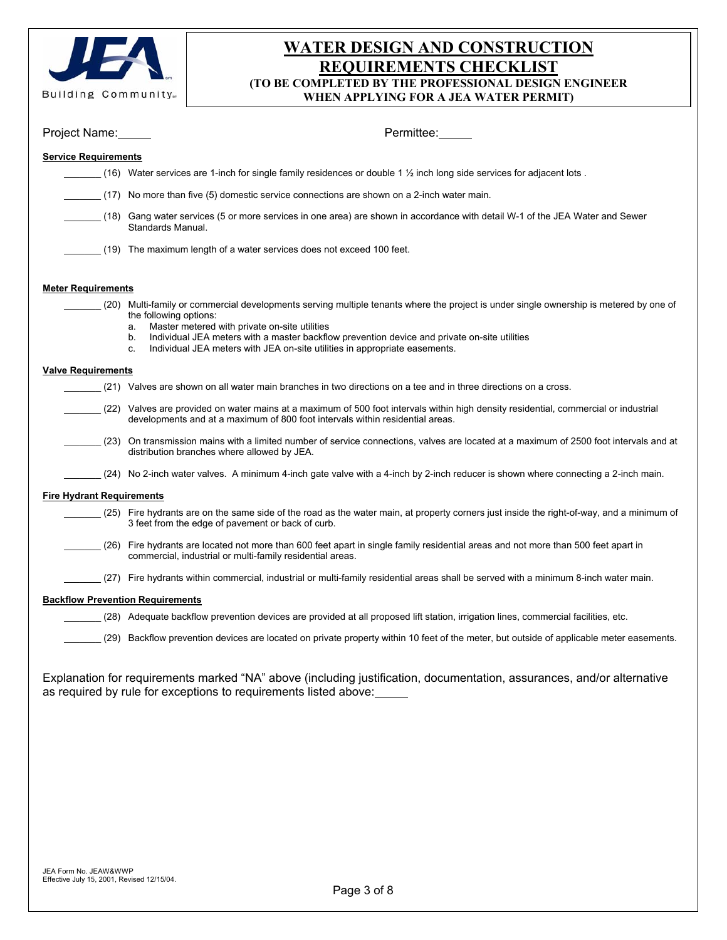

# **WATER DESIGN AND CONSTRUCTION REQUIREMENTS CHECKLIST (TO BE COMPLETED BY THE PROFESSIONAL DESIGN ENGINEER WHEN APPLYING FOR A JEA WATER PERMIT)**

| Project Name:                           | Permittee:                                                                                                                                                                                                                                                                                                                                                                                                        |
|-----------------------------------------|-------------------------------------------------------------------------------------------------------------------------------------------------------------------------------------------------------------------------------------------------------------------------------------------------------------------------------------------------------------------------------------------------------------------|
| <b>Service Requirements</b>             |                                                                                                                                                                                                                                                                                                                                                                                                                   |
|                                         | (16) Water services are 1-inch for single family residences or double 1 $\frac{1}{2}$ inch long side services for adjacent lots.                                                                                                                                                                                                                                                                                  |
|                                         | (17) No more than five (5) domestic service connections are shown on a 2-inch water main.                                                                                                                                                                                                                                                                                                                         |
|                                         | (18) Gang water services (5 or more services in one area) are shown in accordance with detail W-1 of the JEA Water and Sewer<br>Standards Manual.                                                                                                                                                                                                                                                                 |
|                                         | (19) The maximum length of a water services does not exceed 100 feet.                                                                                                                                                                                                                                                                                                                                             |
| <b>Meter Requirements</b>               |                                                                                                                                                                                                                                                                                                                                                                                                                   |
|                                         | (20) Multi-family or commercial developments serving multiple tenants where the project is under single ownership is metered by one of<br>the following options:<br>Master metered with private on-site utilities<br>a.<br>Individual JEA meters with a master backflow prevention device and private on-site utilities<br>b.<br>Individual JEA meters with JEA on-site utilities in appropriate easements.<br>C. |
| <b>Valve Requirements</b>               |                                                                                                                                                                                                                                                                                                                                                                                                                   |
|                                         | (21) Valves are shown on all water main branches in two directions on a tee and in three directions on a cross.                                                                                                                                                                                                                                                                                                   |
|                                         | (22) Valves are provided on water mains at a maximum of 500 foot intervals within high density residential, commercial or industrial<br>developments and at a maximum of 800 foot intervals within residential areas.                                                                                                                                                                                             |
|                                         | (23) On transmission mains with a limited number of service connections, valves are located at a maximum of 2500 foot intervals and at<br>distribution branches where allowed by JEA.                                                                                                                                                                                                                             |
|                                         | (24) No 2-inch water valves. A minimum 4-inch gate valve with a 4-inch by 2-inch reducer is shown where connecting a 2-inch main.                                                                                                                                                                                                                                                                                 |
| <b>Fire Hydrant Requirements</b>        |                                                                                                                                                                                                                                                                                                                                                                                                                   |
|                                         | (25) Fire hydrants are on the same side of the road as the water main, at property corners just inside the right-of-way, and a minimum of<br>3 feet from the edge of pavement or back of curb.                                                                                                                                                                                                                    |
|                                         | (26) Fire hydrants are located not more than 600 feet apart in single family residential areas and not more than 500 feet apart in<br>commercial, industrial or multi-family residential areas.                                                                                                                                                                                                                   |
| (27)                                    | Fire hydrants within commercial, industrial or multi-family residential areas shall be served with a minimum 8-inch water main.                                                                                                                                                                                                                                                                                   |
| <b>Backflow Prevention Requirements</b> |                                                                                                                                                                                                                                                                                                                                                                                                                   |
|                                         | (28) Adequate backflow prevention devices are provided at all proposed lift station, irrigation lines, commercial facilities, etc.                                                                                                                                                                                                                                                                                |
|                                         | (29) Backflow prevention devices are located on private property within 10 feet of the meter, but outside of applicable meter easements.                                                                                                                                                                                                                                                                          |
|                                         | Explanation for requirements marked "NA" above (including justification, documentation, assurances, and/or alternative<br>as required by rule for exceptions to requirements listed above:                                                                                                                                                                                                                        |
|                                         |                                                                                                                                                                                                                                                                                                                                                                                                                   |
|                                         |                                                                                                                                                                                                                                                                                                                                                                                                                   |
|                                         |                                                                                                                                                                                                                                                                                                                                                                                                                   |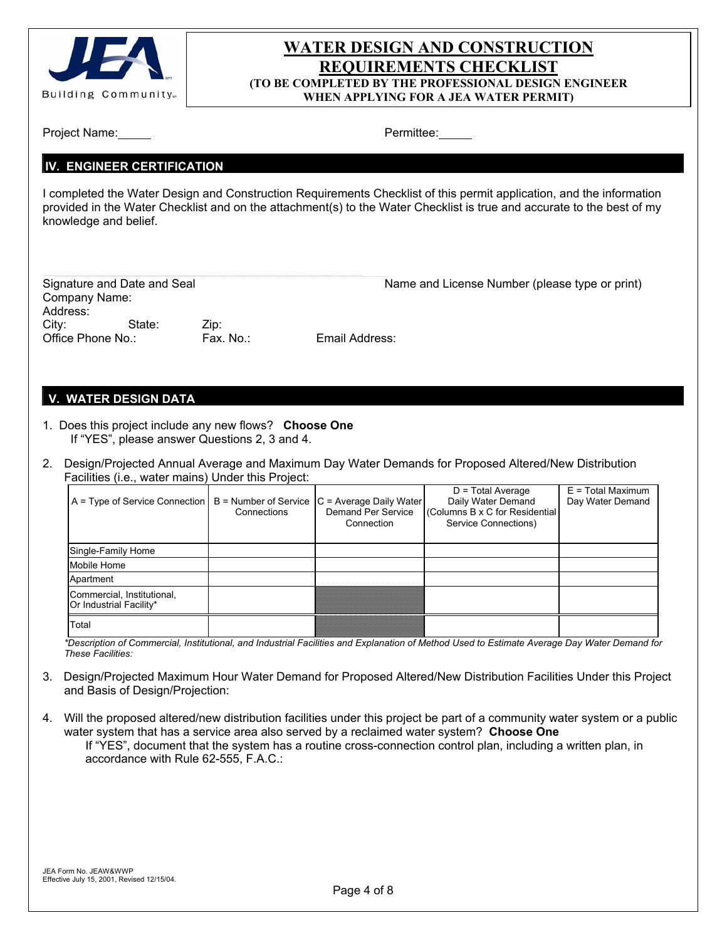

# **WATER DESIGN AND CONSTRUCTION REQUIREMENTS CHECKLIST (TO BE COMPLETED BY THE PROFESSIONAL DESIGN ENGINEER WHEN APPLYING FOR A JEA WATER PERMIT)**

| Project Name: |
|---------------|
|---------------|

Permittee:

#### **IV. ENGINEER CERTIFICATION**

I completed the Water Design and Construction Requirements Checklist of this permit application, and the information provided in the Water Checklist and on the attachment(s) to the Water Checklist is true and accurate to the best of my knowledge and belief.

| Signature and Date and Seal |        |           | Name and License Number (please type or print) |
|-----------------------------|--------|-----------|------------------------------------------------|
| Company Name:               |        |           |                                                |
| Address:                    |        |           |                                                |
| Citv:                       | State: | Zip:      |                                                |
| Office Phone No.:           |        | Fax. No.: | Email Address:                                 |
|                             |        |           |                                                |

#### **V. WATER DESIGN DATA**

- 1. Does this project include any new flows? **Choose One**  If "YES", please answer Questions 2, 3 and 4.
- 2. Design/Projected Annual Average and Maximum Day Water Demands for Proposed Altered/New Distribution Facilities (i.e., water mains) Under this Project:

| $A = Type of Service Connection$                      | Connections | $B =$ Number of Service $C =$ Average Daily Water<br>Demand Per Service<br>Connection | $D = Total Average$<br>Daily Water Demand<br>Columns B x C for Residential<br>Service Connections) | $E = Total Maximum$<br>Day Water Demand |
|-------------------------------------------------------|-------------|---------------------------------------------------------------------------------------|----------------------------------------------------------------------------------------------------|-----------------------------------------|
| Single-Family Home                                    |             |                                                                                       |                                                                                                    |                                         |
| Mobile Home                                           |             |                                                                                       |                                                                                                    |                                         |
| Apartment                                             |             |                                                                                       |                                                                                                    |                                         |
| Commercial, Institutional,<br>Or Industrial Facility* |             |                                                                                       |                                                                                                    |                                         |
| Total                                                 |             |                                                                                       |                                                                                                    |                                         |

 *\*Description of Commercial, Institutional, and Industrial Facilities and Explanation of Method Used to Estimate Average Day Water Demand for These Facilities:* 

- 3. Design/Projected Maximum Hour Water Demand for Proposed Altered/New Distribution Facilities Under this Project and Basis of Design/Projection:
- 4. Will the proposed altered/new distribution facilities under this project be part of a community water system or a public water system that has a service area also served by a reclaimed water system? **Choose One**  If "YES", document that the system has a routine cross-connection control plan, including a written plan, in accordance with Rule 62-555, F.A.C.: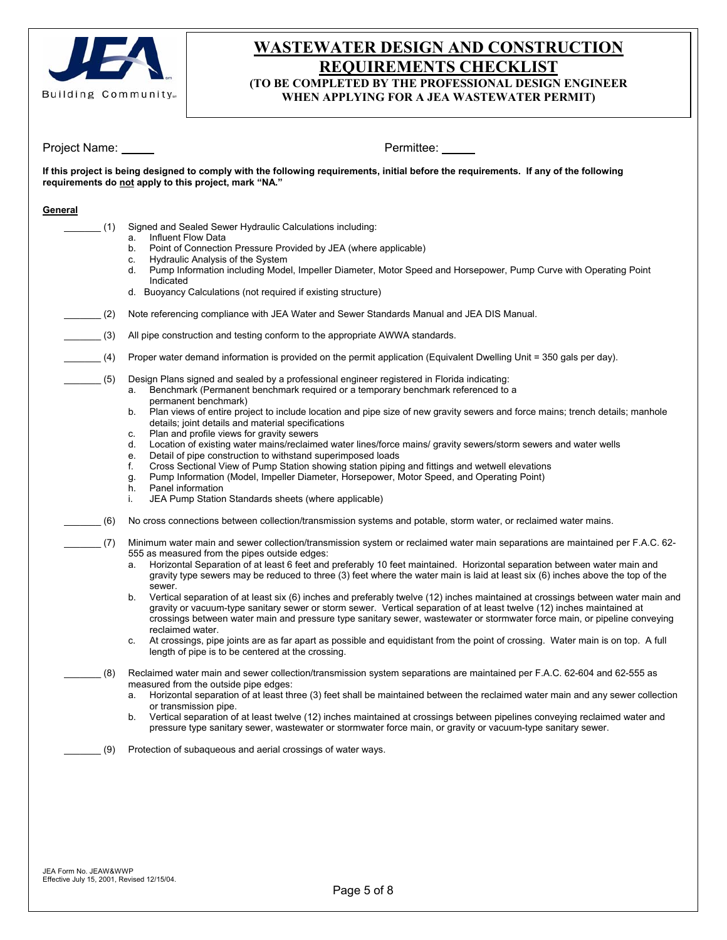

# **WASTEWATER DESIGN AND CONSTRUCTION REQUIREMENTS CHECKLIST (TO BE COMPLETED BY THE PROFESSIONAL DESIGN ENGINEER**

**WHEN APPLYING FOR A JEA WASTEWATER PERMIT)** 

Project Name: Name: Permittee: Permittee: Permittee: Permittee: Permittee: Permittee: Permittee: Permittee: Permittee: Permittee: Permittee: Permittee: Permittee: Permittee: Permittee: Permittee: Permittee: Permittee: Perm

**If this project is being designed to comply with the following requirements, initial before the requirements. If any of the following requirements do not apply to this project, mark "NA."** 

#### **General**

\_\_\_\_\_\_\_ (1) Signed and Sealed Sewer Hydraulic Calculations including:

- a. Influent Flow Data
- b. Point of Connection Pressure Provided by JEA (where applicable)
- c. Hydraulic Analysis of the System
- d. Pump Information including Model, Impeller Diameter, Motor Speed and Horsepower, Pump Curve with Operating Point Indicated
- d. Buoyancy Calculations (not required if existing structure)
- (2) Note referencing compliance with JEA Water and Sewer Standards Manual and JEA DIS Manual.
- \_\_\_\_\_\_\_ (3) All pipe construction and testing conform to the appropriate AWWA standards.
- \_\_\_\_\_\_\_ (4) Proper water demand information is provided on the permit application (Equivalent Dwelling Unit = 350 gals per day).
	- \_\_\_\_\_\_\_ (5) Design Plans signed and sealed by a professional engineer registered in Florida indicating:
		- a. Benchmark (Permanent benchmark required or a temporary benchmark referenced to a permanent benchmark)
		- b. Plan views of entire project to include location and pipe size of new gravity sewers and force mains; trench details; manhole details; joint details and material specifications
		- c. Plan and profile views for gravity sewers
		- d. Location of existing water mains/reclaimed water lines/force mains/ gravity sewers/storm sewers and water wells
		- e. Detail of pipe construction to withstand superimposed loads
		- f. Cross Sectional View of Pump Station showing station piping and fittings and wetwell elevations
		- g. Pump Information (Model, Impeller Diameter, Horsepower, Motor Speed, and Operating Point)
		- h. Panel information
		- i. JEA Pump Station Standards sheets (where applicable)
- \_\_\_\_\_\_\_ (6) No cross connections between collection/transmission systems and potable, storm water, or reclaimed water mains.
	- \_\_\_\_\_\_\_ (7) Minimum water main and sewer collection/transmission system or reclaimed water main separations are maintained per F.A.C. 62- 555 as measured from the pipes outside edges:
		- a. Horizontal Separation of at least 6 feet and preferably 10 feet maintained. Horizontal separation between water main and gravity type sewers may be reduced to three (3) feet where the water main is laid at least six (6) inches above the top of the sewer.
		- b. Vertical separation of at least six (6) inches and preferably twelve (12) inches maintained at crossings between water main and gravity or vacuum-type sanitary sewer or storm sewer. Vertical separation of at least twelve (12) inches maintained at crossings between water main and pressure type sanitary sewer, wastewater or stormwater force main, or pipeline conveying reclaimed water.
		- c. At crossings, pipe joints are as far apart as possible and equidistant from the point of crossing. Water main is on top. A full length of pipe is to be centered at the crossing.
	- \_\_\_\_\_\_\_ (8) Reclaimed water main and sewer collection/transmission system separations are maintained per F.A.C. 62-604 and 62-555 as measured from the outside pipe edges:
		- a. Horizontal separation of at least three (3) feet shall be maintained between the reclaimed water main and any sewer collection or transmission pipe.
		- b. Vertical separation of at least twelve (12) inches maintained at crossings between pipelines conveying reclaimed water and pressure type sanitary sewer, wastewater or stormwater force main, or gravity or vacuum-type sanitary sewer.
	- \_\_\_\_\_\_\_ (9) Protection of subaqueous and aerial crossings of water ways.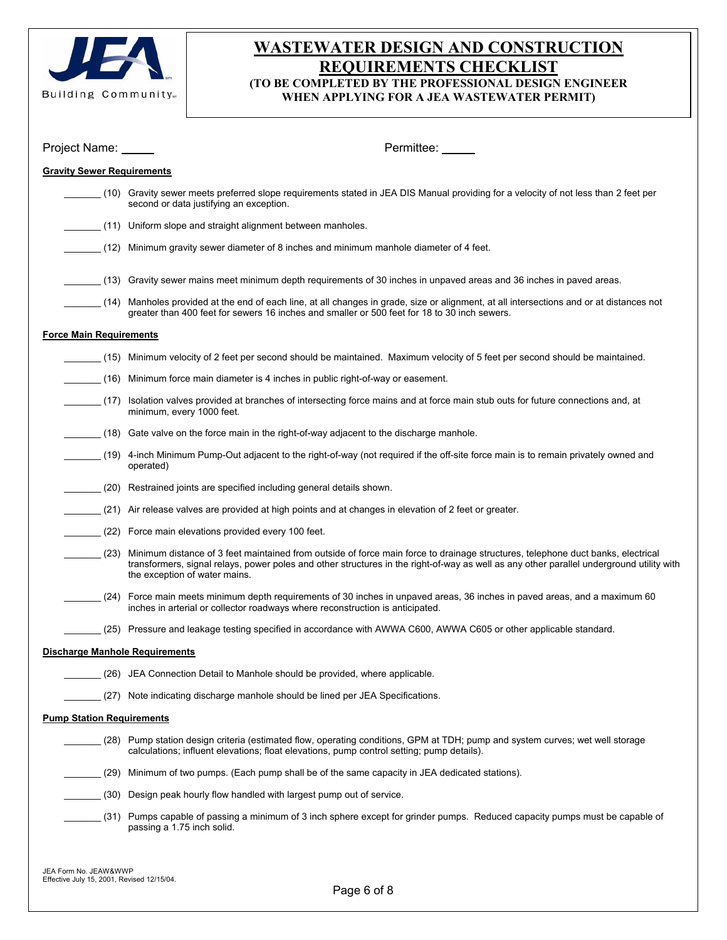

# **WASTEWATER DESIGN AND CONSTRUCTION REQUIREMENTS CHECKLIST (TO BE COMPLETED BY THE PROFESSIONAL DESIGN ENGINEER WHEN APPLYING FOR A JEA WASTEWATER PERMIT)**

| Project Name: _____                   | Permittee:                                                                                                                                                                                                                                                                                                        |  |  |  |  |  |
|---------------------------------------|-------------------------------------------------------------------------------------------------------------------------------------------------------------------------------------------------------------------------------------------------------------------------------------------------------------------|--|--|--|--|--|
|                                       | <b>Gravity Sewer Requirements</b>                                                                                                                                                                                                                                                                                 |  |  |  |  |  |
|                                       | (10) Gravity sewer meets preferred slope requirements stated in JEA DIS Manual providing for a velocity of not less than 2 feet per<br>second or data justifying an exception.                                                                                                                                    |  |  |  |  |  |
|                                       | (11) Uniform slope and straight alignment between manholes.                                                                                                                                                                                                                                                       |  |  |  |  |  |
|                                       | (12) Minimum gravity sewer diameter of 8 inches and minimum manhole diameter of 4 feet.                                                                                                                                                                                                                           |  |  |  |  |  |
|                                       | (13) Gravity sewer mains meet minimum depth requirements of 30 inches in unpaved areas and 36 inches in paved areas.                                                                                                                                                                                              |  |  |  |  |  |
|                                       | (14) Manholes provided at the end of each line, at all changes in grade, size or alignment, at all intersections and or at distances not<br>greater than 400 feet for sewers 16 inches and smaller or 500 feet for 18 to 30 inch sewers.                                                                          |  |  |  |  |  |
| <b>Force Main Requirements</b>        |                                                                                                                                                                                                                                                                                                                   |  |  |  |  |  |
|                                       | (15) Minimum velocity of 2 feet per second should be maintained. Maximum velocity of 5 feet per second should be maintained.                                                                                                                                                                                      |  |  |  |  |  |
| (16)                                  | Minimum force main diameter is 4 inches in public right-of-way or easement.                                                                                                                                                                                                                                       |  |  |  |  |  |
| (17)                                  | Isolation valves provided at branches of intersecting force mains and at force main stub outs for future connections and, at<br>minimum, every 1000 feet.                                                                                                                                                         |  |  |  |  |  |
|                                       | (18) Gate valve on the force main in the right-of-way adjacent to the discharge manhole.                                                                                                                                                                                                                          |  |  |  |  |  |
|                                       | (19) 4-inch Minimum Pump-Out adjacent to the right-of-way (not required if the off-site force main is to remain privately owned and<br>operated)                                                                                                                                                                  |  |  |  |  |  |
|                                       | (20) Restrained joints are specified including general details shown.                                                                                                                                                                                                                                             |  |  |  |  |  |
|                                       | (21) Air release valves are provided at high points and at changes in elevation of 2 feet or greater.                                                                                                                                                                                                             |  |  |  |  |  |
|                                       | (22) Force main elevations provided every 100 feet.                                                                                                                                                                                                                                                               |  |  |  |  |  |
|                                       | (23) Minimum distance of 3 feet maintained from outside of force main force to drainage structures, telephone duct banks, electrical<br>transformers, signal relays, power poles and other structures in the right-of-way as well as any other parallel underground utility with<br>the exception of water mains. |  |  |  |  |  |
|                                       | (24) Force main meets minimum depth requirements of 30 inches in unpaved areas, 36 inches in paved areas, and a maximum 60<br>inches in arterial or collector roadways where reconstruction is anticipated.                                                                                                       |  |  |  |  |  |
|                                       | (25) Pressure and leakage testing specified in accordance with AWWA C600, AWWA C605 or other applicable standard.                                                                                                                                                                                                 |  |  |  |  |  |
| <b>Discharge Manhole Requirements</b> |                                                                                                                                                                                                                                                                                                                   |  |  |  |  |  |
|                                       | (26) JEA Connection Detail to Manhole should be provided, where applicable.                                                                                                                                                                                                                                       |  |  |  |  |  |
|                                       | (27) Note indicating discharge manhole should be lined per JEA Specifications.                                                                                                                                                                                                                                    |  |  |  |  |  |
| <b>Pump Station Requirements</b>      |                                                                                                                                                                                                                                                                                                                   |  |  |  |  |  |
|                                       | (28) Pump station design criteria (estimated flow, operating conditions, GPM at TDH; pump and system curves; wet well storage<br>calculations; influent elevations; float elevations, pump control setting; pump details).                                                                                        |  |  |  |  |  |
|                                       | (29) Minimum of two pumps. (Each pump shall be of the same capacity in JEA dedicated stations).                                                                                                                                                                                                                   |  |  |  |  |  |
|                                       | (30) Design peak hourly flow handled with largest pump out of service.                                                                                                                                                                                                                                            |  |  |  |  |  |
|                                       | (31) Pumps capable of passing a minimum of 3 inch sphere except for grinder pumps. Reduced capacity pumps must be capable of<br>passing a 1.75 inch solid.                                                                                                                                                        |  |  |  |  |  |
|                                       |                                                                                                                                                                                                                                                                                                                   |  |  |  |  |  |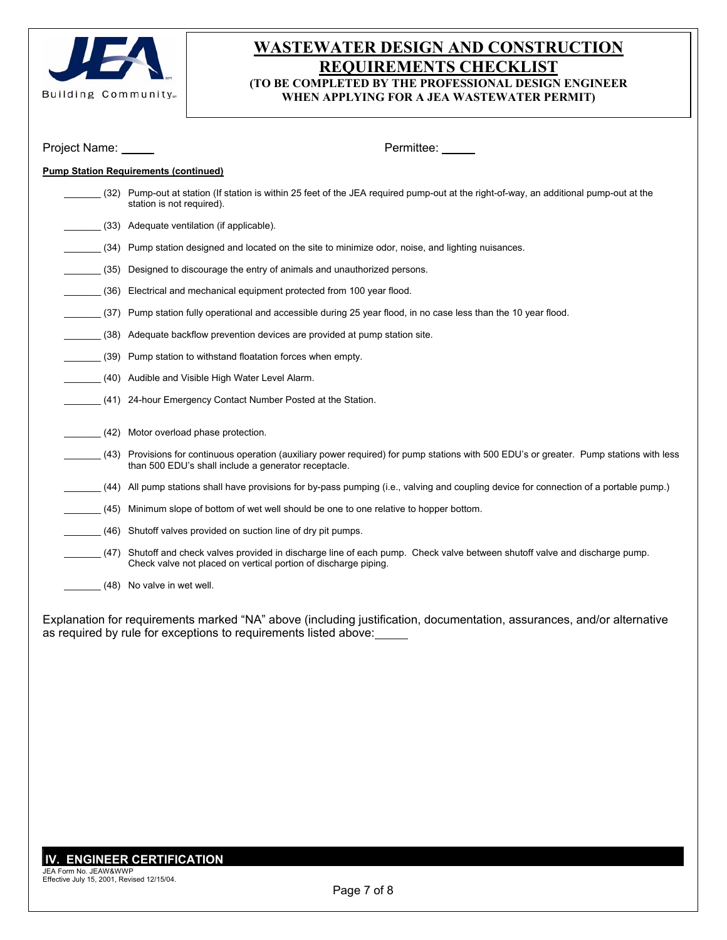

# **WASTEWATER DESIGN AND CONSTRUCTION REQUIREMENTS CHECKLIST (TO BE COMPLETED BY THE PROFESSIONAL DESIGN ENGINEER WHEN APPLYING FOR A JEA WASTEWATER PERMIT)**

| Project Name: | Permittee:                                                                                                                                                                                       |  |  |  |
|---------------|--------------------------------------------------------------------------------------------------------------------------------------------------------------------------------------------------|--|--|--|
|               | <b>Pump Station Requirements (continued)</b>                                                                                                                                                     |  |  |  |
|               | (32) Pump-out at station (If station is within 25 feet of the JEA required pump-out at the right-of-way, an additional pump-out at the<br>station is not required).                              |  |  |  |
|               | (33) Adequate ventilation (if applicable).                                                                                                                                                       |  |  |  |
| (34)          | Pump station designed and located on the site to minimize odor, noise, and lighting nuisances.                                                                                                   |  |  |  |
| (35)          | Designed to discourage the entry of animals and unauthorized persons.                                                                                                                            |  |  |  |
| (36)          | Electrical and mechanical equipment protected from 100 year flood.                                                                                                                               |  |  |  |
| (37)          | Pump station fully operational and accessible during 25 year flood, in no case less than the 10 year flood.                                                                                      |  |  |  |
| (38)          | Adequate backflow prevention devices are provided at pump station site.                                                                                                                          |  |  |  |
| (39)          | Pump station to withstand floatation forces when empty.                                                                                                                                          |  |  |  |
|               | (40) Audible and Visible High Water Level Alarm.                                                                                                                                                 |  |  |  |
|               | (41) 24-hour Emergency Contact Number Posted at the Station.                                                                                                                                     |  |  |  |
| (42)          | Motor overload phase protection.                                                                                                                                                                 |  |  |  |
|               |                                                                                                                                                                                                  |  |  |  |
|               | (43) Provisions for continuous operation (auxiliary power required) for pump stations with 500 EDU's or greater. Pump stations with less<br>than 500 EDU's shall include a generator receptacle. |  |  |  |
| (44)          | All pump stations shall have provisions for by-pass pumping (i.e., valving and coupling device for connection of a portable pump.)                                                               |  |  |  |
| (45)          | Minimum slope of bottom of wet well should be one to one relative to hopper bottom.                                                                                                              |  |  |  |
| (46)          | Shutoff valves provided on suction line of dry pit pumps.                                                                                                                                        |  |  |  |
| (47)          | Shutoff and check valves provided in discharge line of each pump. Check valve between shutoff valve and discharge pump.<br>Check valve not placed on vertical portion of discharge piping.       |  |  |  |
|               | (48) No valve in wet well.                                                                                                                                                                       |  |  |  |

Explanation for requirements marked "NA" above (including justification, documentation, assurances, and/or alternative as required by rule for exceptions to requirements listed above: